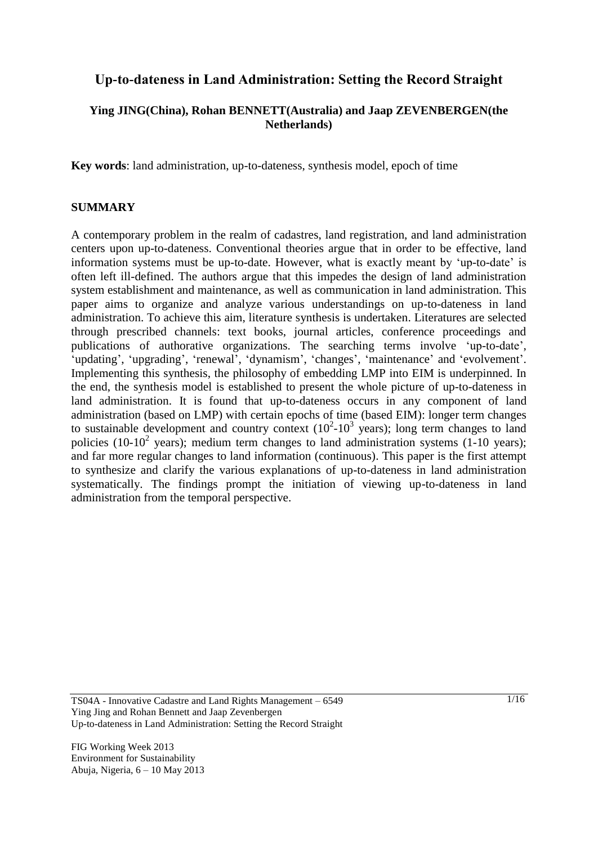# **Up-to-dateness in Land Administration: Setting the Record Straight**

## **Ying JING(China), Rohan BENNETT(Australia) and Jaap ZEVENBERGEN(the Netherlands)**

**Key words**: land administration, up-to-dateness, synthesis model, epoch of time

#### **SUMMARY**

A contemporary problem in the realm of cadastres, land registration, and land administration centers upon up-to-dateness. Conventional theories argue that in order to be effective, land information systems must be up-to-date. However, what is exactly meant by 'up-to-date' is often left ill-defined. The authors argue that this impedes the design of land administration system establishment and maintenance, as well as communication in land administration. This paper aims to organize and analyze various understandings on up-to-dateness in land administration. To achieve this aim, literature synthesis is undertaken. Literatures are selected through prescribed channels: text books, journal articles, conference proceedings and publications of authorative organizations. The searching terms involve 'up-to-date', 'updating', 'upgrading', 'renewal', 'dynamism', 'changes', 'maintenance' and 'evolvement'. Implementing this synthesis, the philosophy of embedding LMP into EIM is underpinned. In the end, the synthesis model is established to present the whole picture of up-to-dateness in land administration. It is found that up-to-dateness occurs in any component of land administration (based on LMP) with certain epochs of time (based EIM): longer term changes to sustainable development and country context  $(10^2-10^3 \text{ years})$ ; long term changes to land policies (10-10<sup>2</sup> years); medium term changes to land administration systems (1-10 years); and far more regular changes to land information (continuous). This paper is the first attempt to synthesize and clarify the various explanations of up-to-dateness in land administration systematically. The findings prompt the initiation of viewing up-to-dateness in land administration from the temporal perspective.

TS04A - Innovative Cadastre and Land Rights Management – 6549 Ying Jing and Rohan Bennett and Jaap Zevenbergen Up-to-dateness in Land Administration: Setting the Record Straight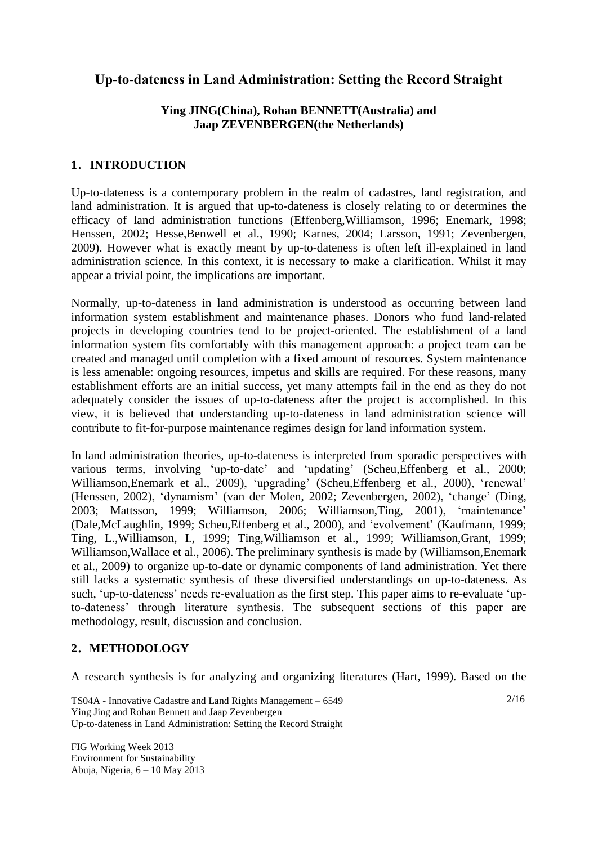# **Up-to-dateness in Land Administration: Setting the Record Straight**

### **Ying JING(China), Rohan BENNETT(Australia) and Jaap ZEVENBERGEN(the Netherlands)**

## **1**.**INTRODUCTION**

Up-to-dateness is a contemporary problem in the realm of cadastres, land registration, and land administration. It is argued that up-to-dateness is closely relating to or determines the efficacy of land administration functions [\(Effenberg,Williamson, 1996;](#page-12-0) [Enemark, 1998;](#page-12-1) [Henssen, 2002;](#page-12-2) [Hesse,Benwell et al., 1990;](#page-12-3) [Karnes, 2004;](#page-13-0) [Larsson, 1991;](#page-13-1) [Zevenbergen,](#page-14-0)  [2009\)](#page-14-0). However what is exactly meant by up-to-dateness is often left ill-explained in land administration science. In this context, it is necessary to make a clarification. Whilst it may appear a trivial point, the implications are important.

Normally, up-to-dateness in land administration is understood as occurring between land information system establishment and maintenance phases. Donors who fund land-related projects in developing countries tend to be project-oriented. The establishment of a land information system fits comfortably with this management approach: a project team can be created and managed until completion with a fixed amount of resources. System maintenance is less amenable: ongoing resources, impetus and skills are required. For these reasons, many establishment efforts are an initial success, yet many attempts fail in the end as they do not adequately consider the issues of up-to-dateness after the project is accomplished. In this view, it is believed that understanding up-to-dateness in land administration science will contribute to fit-for-purpose maintenance regimes design for land information system.

In land administration theories, up-to-dateness is interpreted from sporadic perspectives with various terms, involving 'up-to-date' and 'updating' [\(Scheu,Effenberg et al., 2000;](#page-13-2) [Williamson,Enemark et al., 2009\)](#page-14-1), 'upgrading' [\(Scheu,Effenberg et al., 2000\)](#page-13-2), 'renewal' [\(Henssen, 2002\)](#page-12-2), 'dynamism' [\(van der Molen, 2002;](#page-13-3) [Zevenbergen, 2002\)](#page-14-2), 'change' [\(Ding,](#page-12-4)  [2003;](#page-12-4) [Mattsson, 1999;](#page-13-4) [Williamson, 2006;](#page-14-3) [Williamson,Ting, 2001\)](#page-14-4), 'maintenance' [\(Dale,McLaughlin, 1999;](#page-12-5) [Scheu,Effenberg et al., 2000\)](#page-13-2), and 'evolvement' [\(Kaufmann, 1999;](#page-13-5) [Ting, L.,Williamson, I., 1999;](#page-13-6) [Ting,Williamson et al., 1999;](#page-13-7) [Williamson,Grant, 1999;](#page-14-5) [Williamson,Wallace et al., 2006\)](#page-14-6). The preliminary synthesis is made by [\(Williamson,Enemark](#page-14-1)  [et al., 2009\)](#page-14-1) to organize up-to-date or dynamic components of land administration. Yet there still lacks a systematic synthesis of these diversified understandings on up-to-dateness. As such, 'up-to-dateness' needs re-evaluation as the first step. This paper aims to re-evaluate 'upto-dateness' through literature synthesis. The subsequent sections of this paper are methodology, result, discussion and conclusion.

### **2**.**METHODOLOGY**

A research synthesis is for analyzing and organizing literatures [\(Hart, 1999\)](#page-12-6). Based on the

 $\frac{2}{16}$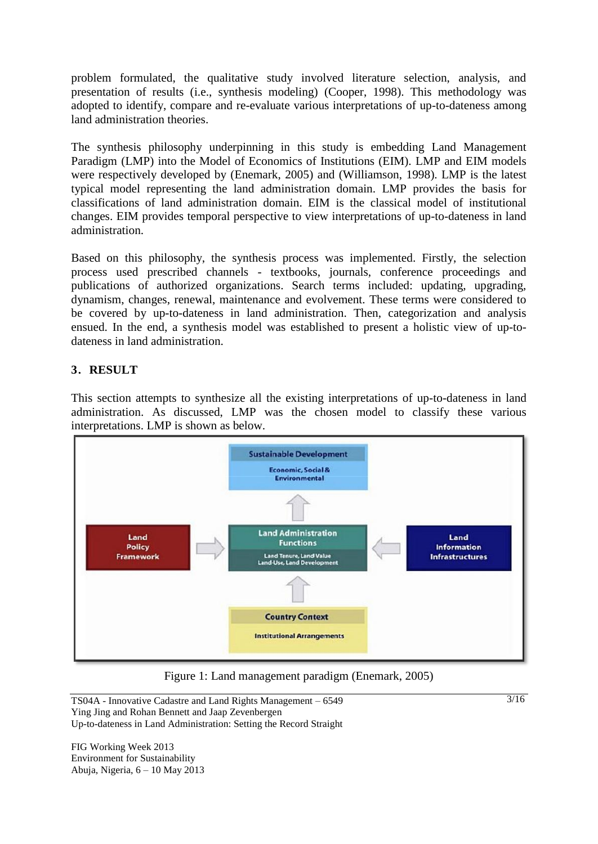problem formulated, the qualitative study involved literature selection, analysis, and presentation of results (i.e., synthesis modeling) [\(Cooper, 1998\)](#page-12-7). This methodology was adopted to identify, compare and re-evaluate various interpretations of up-to-dateness among land administration theories.

The synthesis philosophy underpinning in this study is embedding Land Management Paradigm (LMP) into the Model of Economics of Institutions (EIM). LMP and EIM models were respectively developed by [\(Enemark, 2005\)](#page-12-8) and [\(Williamson, 1998\)](#page-14-7). LMP is the latest typical model representing the land administration domain. LMP provides the basis for classifications of land administration domain. EIM is the classical model of institutional changes. EIM provides temporal perspective to view interpretations of up-to-dateness in land administration.

Based on this philosophy, the synthesis process was implemented. Firstly, the selection process used prescribed channels - textbooks, journals, conference proceedings and publications of authorized organizations. Search terms included: updating, upgrading, dynamism, changes, renewal, maintenance and evolvement. These terms were considered to be covered by up-to-dateness in land administration. Then, categorization and analysis ensued. In the end, a synthesis model was established to present a holistic view of up-todateness in land administration.

## **3**.**RESULT**

This section attempts to synthesize all the existing interpretations of up-to-dateness in land administration. As discussed, LMP was the chosen model to classify these various interpretations. LMP is shown as below.



Figure 1: Land management paradigm [\(Enemark, 2005\)](#page-12-8)

TS04A - Innovative Cadastre and Land Rights Management – 6549 Ying Jing and Rohan Bennett and Jaap Zevenbergen Up-to-dateness in Land Administration: Setting the Record Straight

FIG Working Week 2013 Environment for Sustainability Abuja, Nigeria, 6 – 10 May 2013 3/16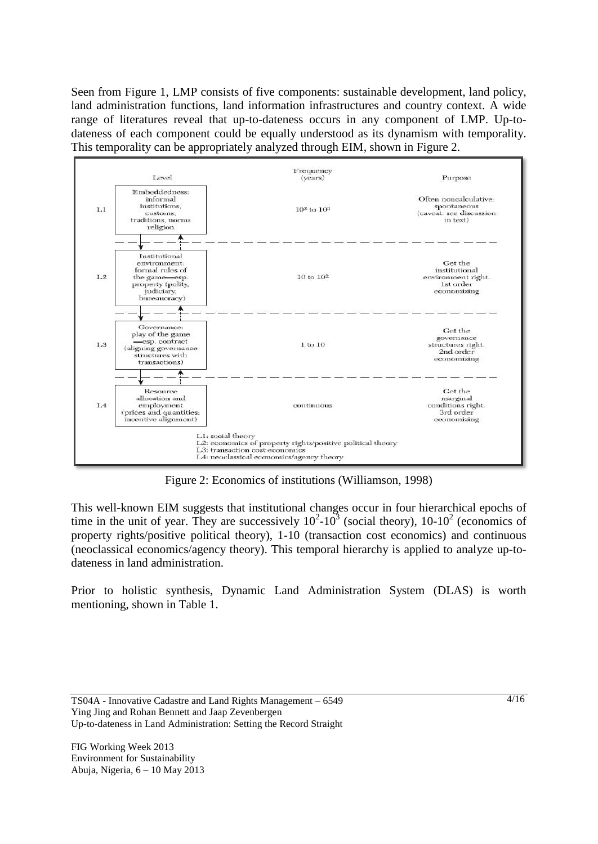Seen from Figure 1, LMP consists of five components: sustainable development, land policy, land administration functions, land information infrastructures and country context. A wide range of literatures reveal that up-to-dateness occurs in any component of LMP. Up-todateness of each component could be equally understood as its dynamism with temporality. This temporality can be appropriately analyzed through EIM, shown in Figure 2.



Figure 2: Economics of institutions [\(Williamson, 1998\)](#page-14-7)

This well-known EIM suggests that institutional changes occur in four hierarchical epochs of time in the unit of year. They are successively  $10^2 \text{-} 10^3$  (social theory),  $10 \text{-} 10^2$  (economics of property rights/positive political theory), 1-10 (transaction cost economics) and continuous (neoclassical economics/agency theory). This temporal hierarchy is applied to analyze up-todateness in land administration.

Prior to holistic synthesis, Dynamic Land Administration System (DLAS) is worth mentioning, shown in Table 1.

TS04A - Innovative Cadastre and Land Rights Management – 6549 Ying Jing and Rohan Bennett and Jaap Zevenbergen Up-to-dateness in Land Administration: Setting the Record Straight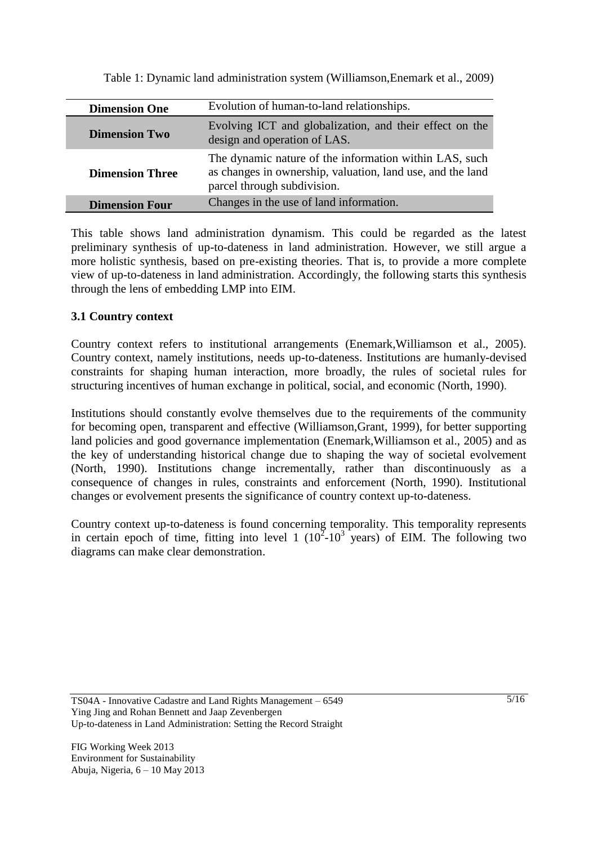| <b>Dimension One</b>   | Evolution of human-to-land relationships.                                                                                                           |
|------------------------|-----------------------------------------------------------------------------------------------------------------------------------------------------|
| <b>Dimension Two</b>   | Evolving ICT and globalization, and their effect on the<br>design and operation of LAS.                                                             |
| <b>Dimension Three</b> | The dynamic nature of the information within LAS, such<br>as changes in ownership, valuation, land use, and the land<br>parcel through subdivision. |
| <b>Dimension Four</b>  | Changes in the use of land information.                                                                                                             |

Table 1: Dynamic land administration system [\(Williamson,Enemark et al., 2009\)](#page-14-1)

This table shows land administration dynamism. This could be regarded as the latest preliminary synthesis of up-to-dateness in land administration. However, we still argue a more holistic synthesis, based on pre-existing theories. That is, to provide a more complete view of up-to-dateness in land administration. Accordingly, the following starts this synthesis through the lens of embedding LMP into EIM.

#### **3.1 Country context**

Country context refers to institutional arrangements [\(Enemark,Williamson et al., 2005\)](#page-12-9). Country context, namely institutions, needs up-to-dateness. Institutions are humanly-devised constraints for shaping human interaction, more broadly, the rules of societal rules for structuring incentives of human exchange in political, social, and economic [\(North, 1990\)](#page-13-8).

Institutions should constantly evolve themselves due to the requirements of the community for becoming open, transparent and effective [\(Williamson,Grant, 1999\)](#page-14-5), for better supporting land policies and good governance implementation [\(Enemark,Williamson et al., 2005\)](#page-12-9) and as the key of understanding historical change due to shaping the way of societal evolvement [\(North, 1990\)](#page-13-8). Institutions change incrementally, rather than discontinuously as a consequence of changes in rules, constraints and enforcement [\(North, 1990\)](#page-13-8). Institutional changes or evolvement presents the significance of country context up-to-dateness.

Country context up-to-dateness is found concerning temporality. This temporality represents in certain epoch of time, fitting into level 1  $(10^2-10^3)$  years) of EIM. The following two diagrams can make clear demonstration.

TS04A - Innovative Cadastre and Land Rights Management – 6549 Ying Jing and Rohan Bennett and Jaap Zevenbergen Up-to-dateness in Land Administration: Setting the Record Straight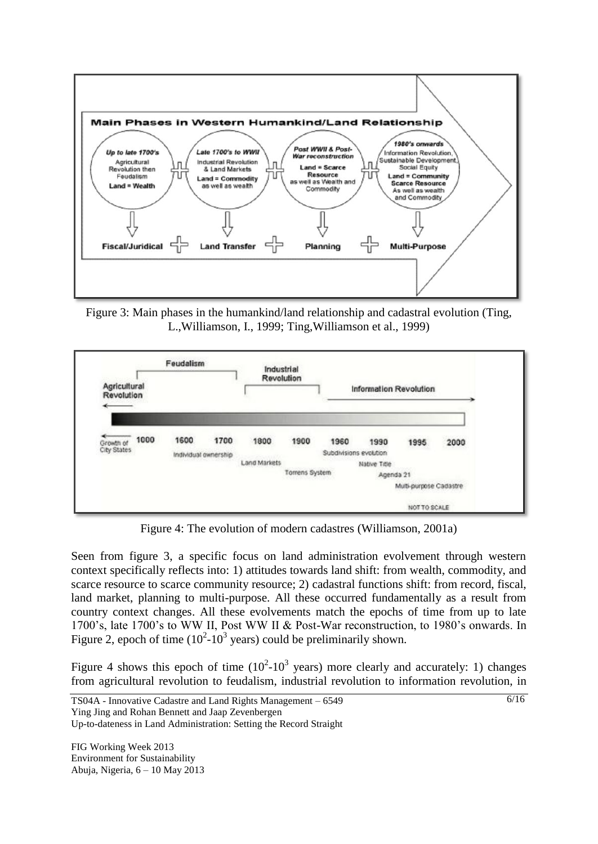

Figure 3: Main phases in the humankind/land relationship and cadastral evolution [\(Ting,](#page-13-6)  [L.,Williamson, I., 1999;](#page-13-6) [Ting,Williamson et al., 1999\)](#page-13-7)



Figure 4: The evolution of modern cadastres [\(Williamson, 2001a\)](#page-14-8)

Seen from figure 3, a specific focus on land administration evolvement through western context specifically reflects into: 1) attitudes towards land shift: from wealth, commodity, and scarce resource to scarce community resource; 2) cadastral functions shift: from record, fiscal, land market, planning to multi-purpose. All these occurred fundamentally as a result from country context changes. All these evolvements match the epochs of time from up to late 1700's, late 1700's to WW II, Post WW II & Post-War reconstruction, to 1980's onwards. In Figure 2, epoch of time  $(10^2 - 10^3 \text{ years})$  could be preliminarily shown.

Figure 4 shows this epoch of time  $(10^2-10^3 \text{ years})$  more clearly and accurately: 1) changes from agricultural revolution to feudalism, industrial revolution to information revolution, in

TS04A - Innovative Cadastre and Land Rights Management – 6549 Ying Jing and Rohan Bennett and Jaap Zevenbergen

6/16

Up-to-dateness in Land Administration: Setting the Record Straight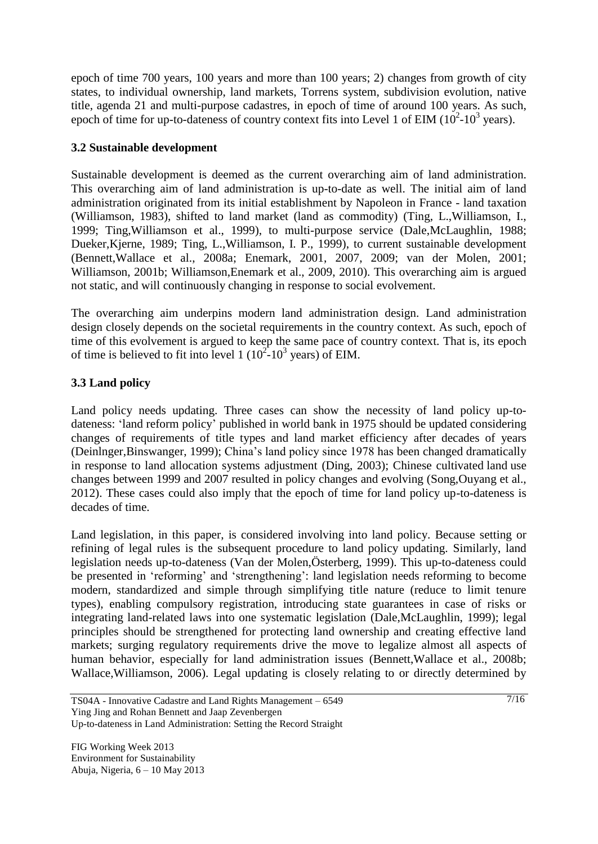epoch of time 700 years, 100 years and more than 100 years; 2) changes from growth of city states, to individual ownership, land markets, Torrens system, subdivision evolution, native title, agenda 21 and multi-purpose cadastres, in epoch of time of around 100 years. As such, epoch of time for up-to-dateness of country context fits into Level 1 of EIM  $(10^2$ -10<sup>3</sup> years).

## **3.2 Sustainable development**

Sustainable development is deemed as the current overarching aim of land administration. This overarching aim of land administration is up-to-date as well. The initial aim of land administration originated from its initial establishment by Napoleon in France - land taxation [\(Williamson, 1983\)](#page-13-9), shifted to land market (land as commodity) [\(Ting, L.,Williamson, I.,](#page-13-6)  [1999;](#page-13-6) [Ting,Williamson et al., 1999\)](#page-13-7), to multi-purpose service [\(Dale,McLaughlin, 1988;](#page-12-10) [Dueker,Kjerne, 1989;](#page-12-11) [Ting, L.,Williamson, I. P., 1999\)](#page-13-10), to current sustainable development [\(Bennett,Wallace et al., 2008a;](#page-12-12) [Enemark, 2001,](#page-12-13) [2007,](#page-12-14) [2009;](#page-12-15) [van der Molen, 2001;](#page-13-11) [Williamson, 2001b;](#page-14-9) [Williamson,Enemark et al., 2009,](#page-14-1) [2010\)](#page-14-10). This overarching aim is argued not static, and will continuously changing in response to social evolvement.

The overarching aim underpins modern land administration design. Land administration design closely depends on the societal requirements in the country context. As such, epoch of time of this evolvement is argued to keep the same pace of country context. That is, its epoch of time is believed to fit into level  $1 (10^2 - 10^3 \text{ years})$  of EIM.

# **3.3 Land policy**

Land policy needs updating. Three cases can show the necessity of land policy up-todateness: 'land reform policy' published in world bank in 1975 should be updated considering changes of requirements of title types and land market efficiency after decades of years [\(Deinlnger,Binswanger, 1999\)](#page-12-16); China's land policy since 1978 has been changed dramatically in response to land allocation systems adjustment [\(Ding, 2003\)](#page-12-4); Chinese cultivated land use changes between 1999 and 2007 resulted in policy changes and evolving [\(Song,Ouyang et al.,](#page-13-12)  [2012\)](#page-13-12). These cases could also imply that the epoch of time for land policy up-to-dateness is decades of time.

Land legislation, in this paper, is considered involving into land policy. Because setting or refining of legal rules is the subsequent procedure to land policy updating. Similarly, land legislation needs up-to-dateness [\(Van der Molen,Österberg, 1999\)](#page-13-13). This up-to-dateness could be presented in 'reforming' and 'strengthening': land legislation needs reforming to become modern, standardized and simple through simplifying title nature (reduce to limit tenure types), enabling compulsory registration, introducing state guarantees in case of risks or integrating land-related laws into one systematic legislation [\(Dale,McLaughlin, 1999\)](#page-12-5); legal principles should be strengthened for protecting land ownership and creating effective land markets; surging regulatory requirements drive the move to legalize almost all aspects of human behavior, especially for land administration issues [\(Bennett,Wallace et al., 2008b;](#page-12-17) [Wallace,Williamson, 2006\)](#page-13-14). Legal updating is closely relating to or directly determined by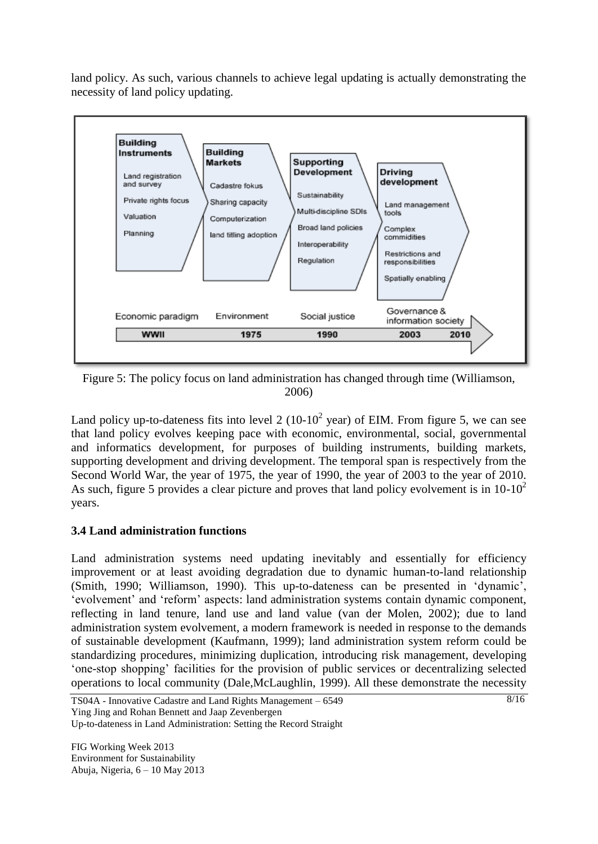land policy. As such, various channels to achieve legal updating is actually demonstrating the necessity of land policy updating.



Figure 5: The policy focus on land administration has changed through time [\(Williamson,](#page-14-3)  [2006\)](#page-14-3)

Land policy up-to-dateness fits into level 2 (10-10<sup>2</sup> year) of EIM. From figure 5, we can see that land policy evolves keeping pace with economic, environmental, social, governmental and informatics development, for purposes of building instruments, building markets, supporting development and driving development. The temporal span is respectively from the Second World War, the year of 1975, the year of 1990, the year of 2003 to the year of 2010. As such, figure 5 provides a clear picture and proves that land policy evolvement is in  $10-10^2$ years.

### **3.4 Land administration functions**

Land administration systems need updating inevitably and essentially for efficiency improvement or at least avoiding degradation due to dynamic human-to-land relationship [\(Smith, 1990;](#page-13-15) [Williamson, 1990\)](#page-13-16). This up-to-dateness can be presented in 'dynamic', 'evolvement' and 'reform' aspects: land administration systems contain dynamic component, reflecting in land tenure, land use and land value [\(van der Molen, 2002\)](#page-13-3); due to land administration system evolvement, a modern framework is needed in response to the demands of sustainable development [\(Kaufmann, 1999\)](#page-13-5); land administration system reform could be standardizing procedures, minimizing duplication, introducing risk management, developing 'one-stop shopping' facilities for the provision of public services or decentralizing selected operations to local community [\(Dale,McLaughlin, 1999\)](#page-12-5). All these demonstrate the necessity

TS04A - Innovative Cadastre and Land Rights Management – 6549 Ying Jing and Rohan Bennett and Jaap Zevenbergen

Up-to-dateness in Land Administration: Setting the Record Straight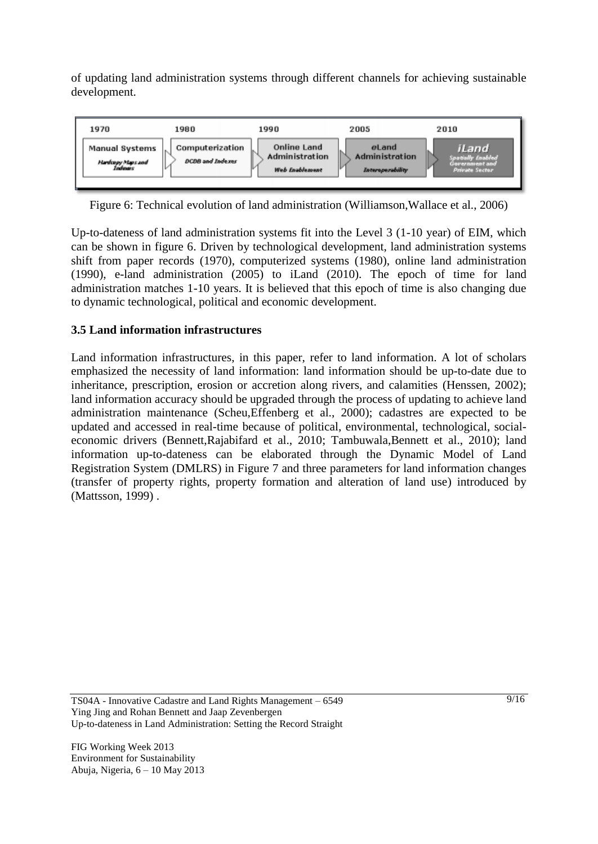of updating land administration systems through different channels for achieving sustainable development.



Figure 6: Technical evolution of land administration [\(Williamson,Wallace et al., 2006\)](#page-14-6)

Up-to-dateness of land administration systems fit into the Level 3 (1-10 year) of EIM, which can be shown in figure 6. Driven by technological development, land administration systems shift from paper records (1970), computerized systems (1980), online land administration (1990), e-land administration (2005) to iLand (2010). The epoch of time for land administration matches 1-10 years. It is believed that this epoch of time is also changing due to dynamic technological, political and economic development.

# **3.5 Land information infrastructures**

Land information infrastructures, in this paper, refer to land information. A lot of scholars emphasized the necessity of land information: land information should be up-to-date due to inheritance, prescription, erosion or accretion along rivers, and calamities [\(Henssen, 2002\)](#page-12-2); land information accuracy should be upgraded through the process of updating to achieve land administration maintenance [\(Scheu,Effenberg et al., 2000\)](#page-13-2); cadastres are expected to be updated and accessed in real-time because of political, environmental, technological, socialeconomic drivers [\(Bennett,Rajabifard et al., 2010;](#page-12-18) [Tambuwala,Bennett et al., 2010\)](#page-13-17); land information up-to-dateness can be elaborated through the Dynamic Model of Land Registration System (DMLRS) in Figure 7 and three parameters for land information changes (transfer of property rights, property formation and alteration of land use) introduced by [\(Mattsson, 1999\)](#page-13-4) .

TS04A - Innovative Cadastre and Land Rights Management – 6549 Ying Jing and Rohan Bennett and Jaap Zevenbergen Up-to-dateness in Land Administration: Setting the Record Straight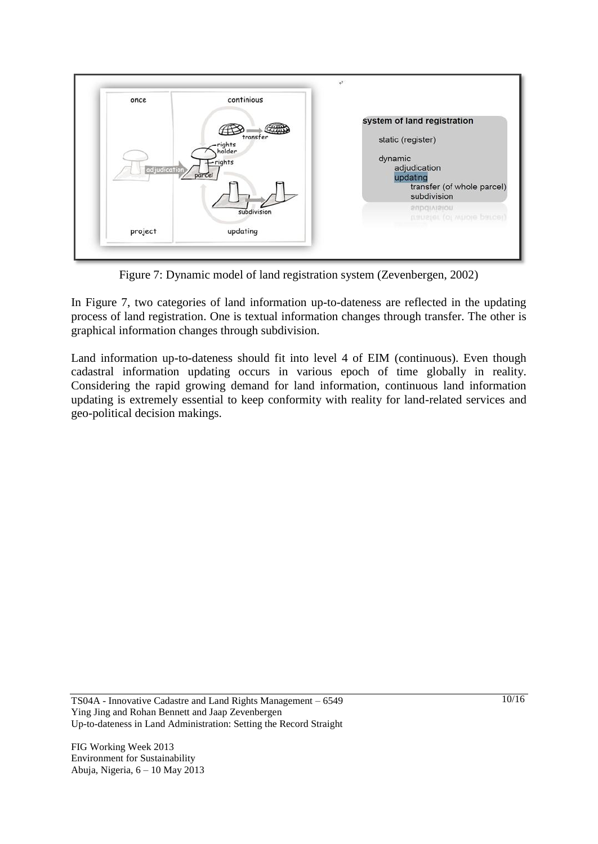

Figure 7: Dynamic model of land registration system [\(Zevenbergen, 2002\)](#page-14-2)

In Figure 7, two categories of land information up-to-dateness are reflected in the updating process of land registration. One is textual information changes through transfer. The other is graphical information changes through subdivision.

Land information up-to-dateness should fit into level 4 of EIM (continuous). Even though cadastral information updating occurs in various epoch of time globally in reality. Considering the rapid growing demand for land information, continuous land information updating is extremely essential to keep conformity with reality for land-related services and geo-political decision makings.

TS04A - Innovative Cadastre and Land Rights Management – 6549 Ying Jing and Rohan Bennett and Jaap Zevenbergen Up-to-dateness in Land Administration: Setting the Record Straight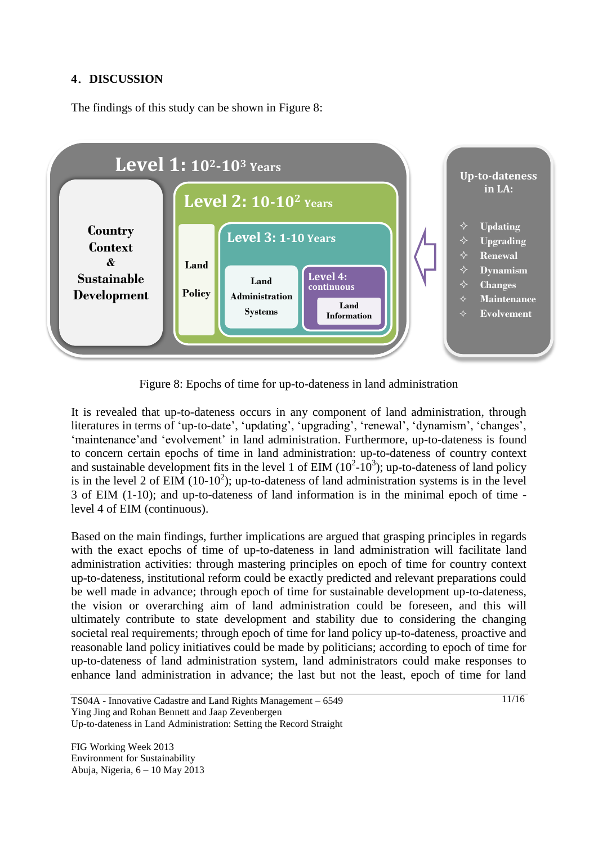#### **4**.**DISCUSSION**

The findings of this study can be shown in Figure 8:



Figure 8: Epochs of time for up-to-dateness in land administration

It is revealed that up-to-dateness occurs in any component of land administration, through literatures in terms of 'up-to-date', 'updating', 'upgrading', 'renewal', 'dynamism', 'changes', 'maintenance'and 'evolvement' in land administration. Furthermore, up-to-dateness is found to concern certain epochs of time in land administration: up-to-dateness of country context and sustainable development fits in the level 1 of EIM  $(10^2-10^3)$ ; up-to-dateness of land policy is in the level 2 of EIM  $(10-10^2)$ ; up-to-dateness of land administration systems is in the level 3 of EIM (1-10); and up-to-dateness of land information is in the minimal epoch of time level 4 of EIM (continuous).

Based on the main findings, further implications are argued that grasping principles in regards with the exact epochs of time of up-to-dateness in land administration will facilitate land administration activities: through mastering principles on epoch of time for country context up-to-dateness, institutional reform could be exactly predicted and relevant preparations could be well made in advance; through epoch of time for sustainable development up-to-dateness, the vision or overarching aim of land administration could be foreseen, and this will ultimately contribute to state development and stability due to considering the changing societal real requirements; through epoch of time for land policy up-to-dateness, proactive and reasonable land policy initiatives could be made by politicians; according to epoch of time for up-to-dateness of land administration system, land administrators could make responses to enhance land administration in advance; the last but not the least, epoch of time for land

TS04A - Innovative Cadastre and Land Rights Management – 6549 Ying Jing and Rohan Bennett and Jaap Zevenbergen

Up-to-dateness in Land Administration: Setting the Record Straight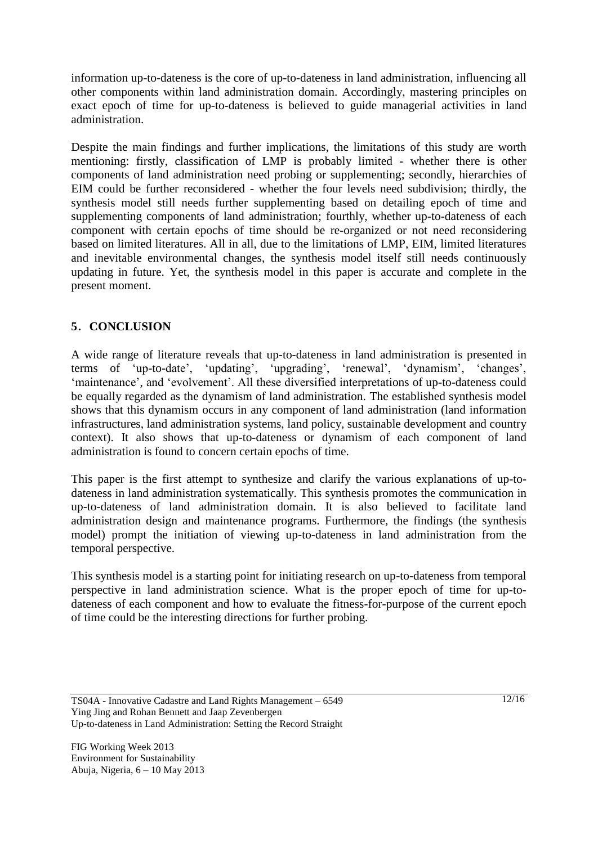information up-to-dateness is the core of up-to-dateness in land administration, influencing all other components within land administration domain. Accordingly, mastering principles on exact epoch of time for up-to-dateness is believed to guide managerial activities in land administration.

Despite the main findings and further implications, the limitations of this study are worth mentioning: firstly, classification of LMP is probably limited - whether there is other components of land administration need probing or supplementing; secondly, hierarchies of EIM could be further reconsidered - whether the four levels need subdivision; thirdly, the synthesis model still needs further supplementing based on detailing epoch of time and supplementing components of land administration; fourthly, whether up-to-dateness of each component with certain epochs of time should be re-organized or not need reconsidering based on limited literatures. All in all, due to the limitations of LMP, EIM, limited literatures and inevitable environmental changes, the synthesis model itself still needs continuously updating in future. Yet, the synthesis model in this paper is accurate and complete in the present moment.

# **5**.**CONCLUSION**

A wide range of literature reveals that up-to-dateness in land administration is presented in terms of 'up-to-date', 'updating', 'upgrading', 'renewal', 'dynamism', 'changes', 'maintenance', and 'evolvement'. All these diversified interpretations of up-to-dateness could be equally regarded as the dynamism of land administration. The established synthesis model shows that this dynamism occurs in any component of land administration (land information infrastructures, land administration systems, land policy, sustainable development and country context). It also shows that up-to-dateness or dynamism of each component of land administration is found to concern certain epochs of time.

This paper is the first attempt to synthesize and clarify the various explanations of up-todateness in land administration systematically. This synthesis promotes the communication in up-to-dateness of land administration domain. It is also believed to facilitate land administration design and maintenance programs. Furthermore, the findings (the synthesis model) prompt the initiation of viewing up-to-dateness in land administration from the temporal perspective.

This synthesis model is a starting point for initiating research on up-to-dateness from temporal perspective in land administration science. What is the proper epoch of time for up-todateness of each component and how to evaluate the fitness-for-purpose of the current epoch of time could be the interesting directions for further probing.

TS04A - Innovative Cadastre and Land Rights Management – 6549 Ying Jing and Rohan Bennett and Jaap Zevenbergen Up-to-dateness in Land Administration: Setting the Record Straight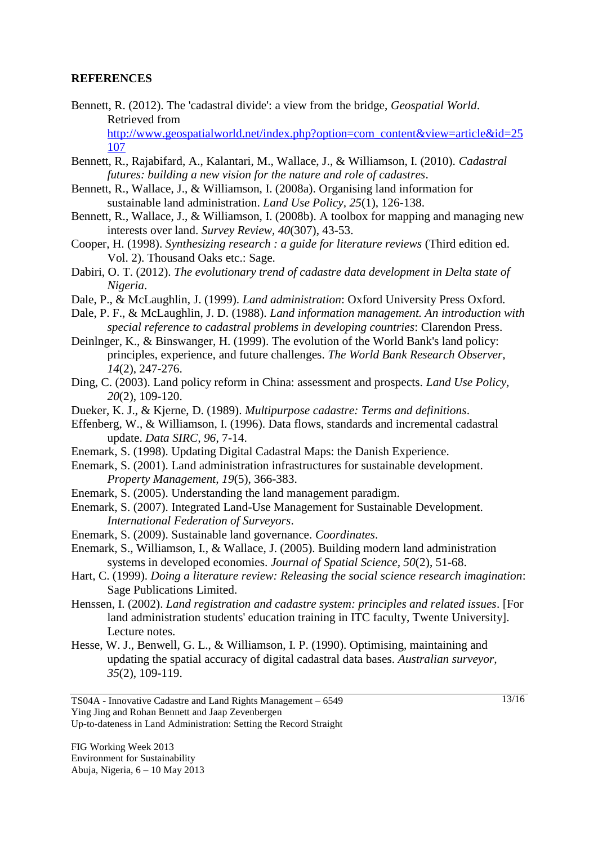#### **REFERENCES**

Bennett, R. (2012). The 'cadastral divide': a view from the bridge, *Geospatial World*. Retrieved from

[http://www.geospatialworld.net/index.php?option=com\\_content&view=article&id=25](http://www.geospatialworld.net/index.php?option=com_content&view=article&id=25107) [107](http://www.geospatialworld.net/index.php?option=com_content&view=article&id=25107)

- <span id="page-12-18"></span>Bennett, R., Rajabifard, A., Kalantari, M., Wallace, J., & Williamson, I. (2010). *Cadastral futures: building a new vision for the nature and role of cadastres*.
- <span id="page-12-12"></span>Bennett, R., Wallace, J., & Williamson, I. (2008a). Organising land information for sustainable land administration. *Land Use Policy, 25*(1), 126-138.
- <span id="page-12-17"></span>Bennett, R., Wallace, J., & Williamson, I. (2008b). A toolbox for mapping and managing new interests over land. *Survey Review, 40*(307), 43-53.
- <span id="page-12-7"></span>Cooper, H. (1998). *Synthesizing research : a guide for literature reviews* (Third edition ed. Vol. 2). Thousand Oaks etc.: Sage.
- Dabiri, O. T. (2012). *The evolutionary trend of cadastre data development in Delta state of Nigeria*.
- <span id="page-12-5"></span>Dale, P., & McLaughlin, J. (1999). *Land administration*: Oxford University Press Oxford.
- <span id="page-12-10"></span>Dale, P. F., & McLaughlin, J. D. (1988). *Land information management. An introduction with special reference to cadastral problems in developing countries*: Clarendon Press.
- <span id="page-12-16"></span>Deinlnger, K., & Binswanger, H. (1999). The evolution of the World Bank's land policy: principles, experience, and future challenges. *The World Bank Research Observer, 14*(2), 247-276.
- <span id="page-12-4"></span>Ding, C. (2003). Land policy reform in China: assessment and prospects. *Land Use Policy, 20*(2), 109-120.
- <span id="page-12-11"></span>Dueker, K. J., & Kjerne, D. (1989). *Multipurpose cadastre: Terms and definitions*.
- <span id="page-12-0"></span>Effenberg, W., & Williamson, I. (1996). Data flows, standards and incremental cadastral update. *Data SIRC, 96*, 7-14.
- <span id="page-12-1"></span>Enemark, S. (1998). Updating Digital Cadastral Maps: the Danish Experience.
- <span id="page-12-13"></span>Enemark, S. (2001). Land administration infrastructures for sustainable development. *Property Management, 19*(5), 366-383.
- <span id="page-12-8"></span>Enemark, S. (2005). Understanding the land management paradigm.
- <span id="page-12-14"></span>Enemark, S. (2007). Integrated Land-Use Management for Sustainable Development. *International Federation of Surveyors*.
- <span id="page-12-15"></span>Enemark, S. (2009). Sustainable land governance. *Coordinates*.
- <span id="page-12-9"></span>Enemark, S., Williamson, I., & Wallace, J. (2005). Building modern land administration systems in developed economies. *Journal of Spatial Science, 50*(2), 51-68.
- <span id="page-12-6"></span>Hart, C. (1999). *Doing a literature review: Releasing the social science research imagination*: Sage Publications Limited.
- <span id="page-12-2"></span>Henssen, I. (2002). *Land registration and cadastre system: principles and related issues*. [For land administration students' education training in ITC faculty, Twente University]. Lecture notes.
- <span id="page-12-3"></span>Hesse, W. J., Benwell, G. L., & Williamson, I. P. (1990). Optimising, maintaining and updating the spatial accuracy of digital cadastral data bases. *Australian surveyor, 35*(2), 109-119.

TS04A - Innovative Cadastre and Land Rights Management – 6549 Ying Jing and Rohan Bennett and Jaap Zevenbergen

Up-to-dateness in Land Administration: Setting the Record Straight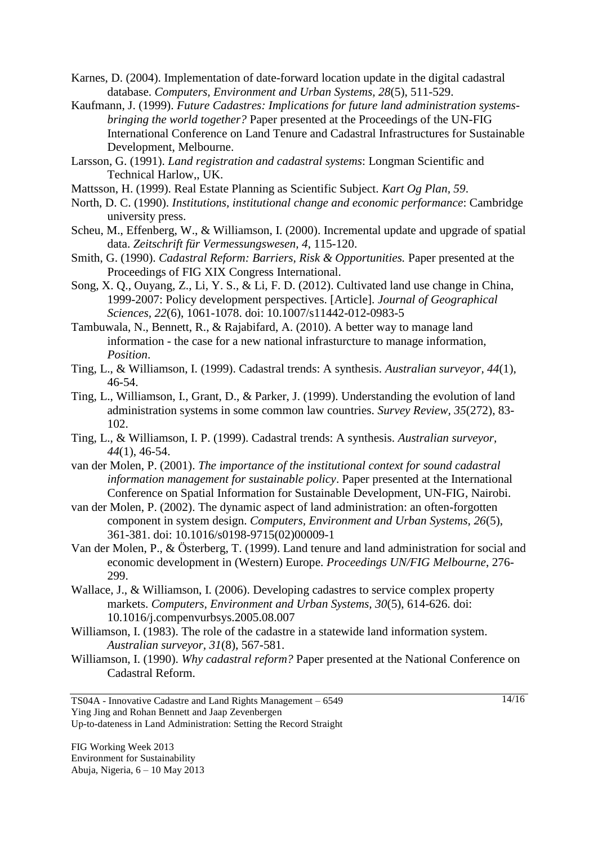- <span id="page-13-0"></span>Karnes, D. (2004). Implementation of date-forward location update in the digital cadastral database. *Computers, Environment and Urban Systems, 28*(5), 511-529.
- <span id="page-13-5"></span>Kaufmann, J. (1999). *Future Cadastres: Implications for future land administration systemsbringing the world together?* Paper presented at the Proceedings of the UN-FIG International Conference on Land Tenure and Cadastral Infrastructures for Sustainable Development, Melbourne.
- <span id="page-13-1"></span>Larsson, G. (1991). *Land registration and cadastral systems*: Longman Scientific and Technical Harlow,, UK.
- <span id="page-13-4"></span>Mattsson, H. (1999). Real Estate Planning as Scientific Subject. *Kart Og Plan, 59*.
- <span id="page-13-8"></span>North, D. C. (1990). *Institutions, institutional change and economic performance*: Cambridge university press.
- <span id="page-13-2"></span>Scheu, M., Effenberg, W., & Williamson, I. (2000). Incremental update and upgrade of spatial data. *Zeitschrift für Vermessungswesen, 4*, 115-120.
- <span id="page-13-15"></span>Smith, G. (1990). *Cadastral Reform: Barriers, Risk & Opportunities.* Paper presented at the Proceedings of FIG XIX Congress International.
- <span id="page-13-12"></span>Song, X. Q., Ouyang, Z., Li, Y. S., & Li, F. D. (2012). Cultivated land use change in China, 1999-2007: Policy development perspectives. [Article]. *Journal of Geographical Sciences, 22*(6), 1061-1078. doi: 10.1007/s11442-012-0983-5
- <span id="page-13-17"></span>Tambuwala, N., Bennett, R., & Rajabifard, A. (2010). A better way to manage land information - the case for a new national infrasturcture to manage information, *Position*.
- <span id="page-13-6"></span>Ting, L., & Williamson, I. (1999). Cadastral trends: A synthesis. *Australian surveyor, 44*(1), 46-54.
- <span id="page-13-7"></span>Ting, L., Williamson, I., Grant, D., & Parker, J. (1999). Understanding the evolution of land administration systems in some common law countries. *Survey Review, 35*(272), 83- 102.
- <span id="page-13-10"></span>Ting, L., & Williamson, I. P. (1999). Cadastral trends: A synthesis. *Australian surveyor, 44*(1), 46-54.
- <span id="page-13-11"></span>van der Molen, P. (2001). *The importance of the institutional context for sound cadastral information management for sustainable policy*. Paper presented at the International Conference on Spatial Information for Sustainable Development, UN-FIG, Nairobi.
- <span id="page-13-3"></span>van der Molen, P. (2002). The dynamic aspect of land administration: an often-forgotten component in system design. *Computers, Environment and Urban Systems, 26*(5), 361-381. doi: 10.1016/s0198-9715(02)00009-1
- <span id="page-13-13"></span>Van der Molen, P., & Österberg, T. (1999). Land tenure and land administration for social and economic development in (Western) Europe. *Proceedings UN/FIG Melbourne*, 276- 299.
- <span id="page-13-14"></span>Wallace, J., & Williamson, I. (2006). Developing cadastres to service complex property markets. *Computers, Environment and Urban Systems, 30*(5), 614-626. doi: 10.1016/j.compenvurbsys.2005.08.007
- <span id="page-13-9"></span>Williamson, I. (1983). The role of the cadastre in a statewide land information system. *Australian surveyor, 31*(8), 567-581.
- <span id="page-13-16"></span>Williamson, I. (1990). *Why cadastral reform?* Paper presented at the National Conference on Cadastral Reform.

TS04A - Innovative Cadastre and Land Rights Management – 6549 Ying Jing and Rohan Bennett and Jaap Zevenbergen

Up-to-dateness in Land Administration: Setting the Record Straight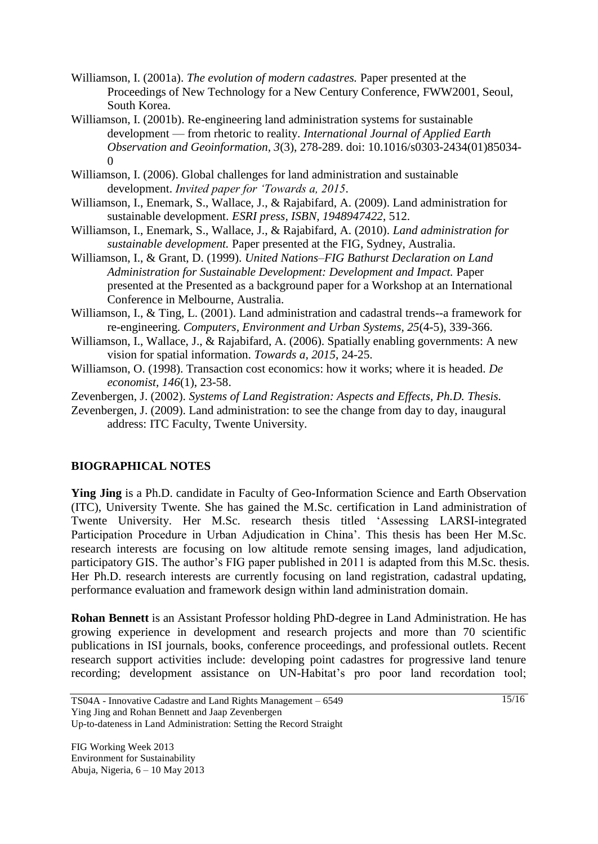- <span id="page-14-8"></span>Williamson, I. (2001a). *The evolution of modern cadastres.* Paper presented at the Proceedings of New Technology for a New Century Conference, FWW2001, Seoul, South Korea.
- <span id="page-14-9"></span>Williamson, I. (2001b). Re-engineering land administration systems for sustainable development — from rhetoric to reality. *International Journal of Applied Earth Observation and Geoinformation, 3*(3), 278-289. doi: 10.1016/s0303-2434(01)85034-  $\Omega$
- <span id="page-14-3"></span>Williamson, I. (2006). Global challenges for land administration and sustainable development. *Invited paper for 'Towards a, 2015*.
- <span id="page-14-1"></span>Williamson, I., Enemark, S., Wallace, J., & Rajabifard, A. (2009). Land administration for sustainable development. *ESRI press, ISBN, 1948947422*, 512.
- <span id="page-14-10"></span>Williamson, I., Enemark, S., Wallace, J., & Rajabifard, A. (2010). *Land administration for sustainable development.* Paper presented at the FIG, Sydney, Australia.
- <span id="page-14-5"></span>Williamson, I., & Grant, D. (1999). *United Nations–FIG Bathurst Declaration on Land Administration for Sustainable Development: Development and Impact.* Paper presented at the Presented as a background paper for a Workshop at an International Conference in Melbourne, Australia.
- <span id="page-14-4"></span>Williamson, I., & Ting, L. (2001). Land administration and cadastral trends--a framework for re-engineering. *Computers, Environment and Urban Systems, 25*(4-5), 339-366.
- <span id="page-14-6"></span>Williamson, I., Wallace, J., & Rajabifard, A. (2006). Spatially enabling governments: A new vision for spatial information. *Towards a, 2015*, 24-25.
- <span id="page-14-7"></span>Williamson, O. (1998). Transaction cost economics: how it works; where it is headed. *De economist, 146*(1), 23-58.
- <span id="page-14-2"></span>Zevenbergen, J. (2002). *Systems of Land Registration: Aspects and Effects, Ph.D. Thesis.*
- <span id="page-14-0"></span>Zevenbergen, J. (2009). Land administration: to see the change from day to day, inaugural address: ITC Faculty, Twente University.

### **BIOGRAPHICAL NOTES**

**Ying Jing** is a Ph.D. candidate in Faculty of Geo-Information Science and Earth Observation (ITC), University Twente. She has gained the M.Sc. certification in Land administration of Twente University. Her M.Sc. research thesis titled 'Assessing LARSI-integrated Participation Procedure in Urban Adjudication in China'. This thesis has been Her M.Sc. research interests are focusing on low altitude remote sensing images, land adjudication, participatory GIS. The author's FIG paper published in 2011 is adapted from this M.Sc. thesis. Her Ph.D. research interests are currently focusing on land registration, cadastral updating, performance evaluation and framework design within land administration domain.

**Rohan Bennett** is an Assistant Professor holding PhD-degree in Land Administration. He has growing experience in development and research projects and more than 70 scientific publications in ISI journals, books, conference proceedings, and professional outlets. Recent research support activities include: developing point cadastres for progressive land tenure recording; development assistance on UN-Habitat's pro poor land recordation tool;

 $\frac{15}{16}$ 

TS04A - Innovative Cadastre and Land Rights Management – 6549 Ying Jing and Rohan Bennett and Jaap Zevenbergen Up-to-dateness in Land Administration: Setting the Record Straight